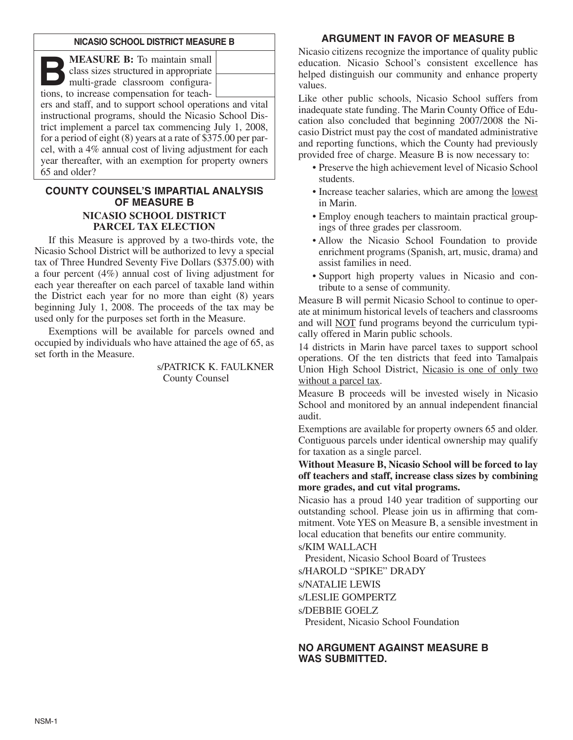#### **NICASIO SCHOOL DISTRICT MEASURE B**

**B:** To maintain small<br>class sizes structured in appropriate<br>multi-grade classroom configura-<br>tions to increase compensation for teachclass sizes structured in appropriate tions, to increase compensation for teach-

ers and staff, and to support school operations and vital instructional programs, should the Nicasio School District implement a parcel tax commencing July 1, 2008, for a period of eight (8) years at a rate of \$375.00 per parcel, with a 4% annual cost of living adjustment for each year thereafter, with an exemption for property owners 65 and older?

# **COUNTY COUNSEL'S IMPARTIAL ANALYSIS OF MEASURE B NICASIO SCHOOL DISTRICT PARCEL TAX ELECTION**

If this Measure is approved by a two-thirds vote, the Nicasio School District will be authorized to levy a special tax of Three Hundred Seventy Five Dollars (\$375.00) with a four percent (4%) annual cost of living adjustment for each year thereafter on each parcel of taxable land within the District each year for no more than eight (8) years beginning July 1, 2008. The proceeds of the tax may be used only for the purposes set forth in the Measure.

Exemptions will be available for parcels owned and occupied by individuals who have attained the age of 65, as set forth in the Measure.

> s/PATRICK K. FAULKNER County Counsel

# **ARGUMENT IN FAVOR OF MEASURE B**

Nicasio citizens recognize the importance of quality public education. Nicasio School's consistent excellence has helped distinguish our community and enhance property values.

Like other public schools, Nicasio School suffers from inadequate state funding. The Marin County Office of Education also concluded that beginning 2007/2008 the Nicasio District must pay the cost of mandated administrative and reporting functions, which the County had previously provided free of charge. Measure B is now necessary to:

- Preserve the high achievement level of Nicasio School students.
- Increase teacher salaries, which are among the lowest in Marin.
- Employ enough teachers to maintain practical groupings of three grades per classroom.
- Allow the Nicasio School Foundation to provide enrichment programs (Spanish, art, music, drama) and assist families in need.
- Support high property values in Nicasio and contribute to a sense of community.

Measure B will permit Nicasio School to continue to operate at minimum historical levels of teachers and classrooms and will NOT fund programs beyond the curriculum typically offered in Marin public schools.

14 districts in Marin have parcel taxes to support school operations. Of the ten districts that feed into Tamalpais Union High School District, Nicasio is one of only two without a parcel tax.

Measure B proceeds will be invested wisely in Nicasio School and monitored by an annual independent financial audit.

Exemptions are available for property owners 65 and older. Contiguous parcels under identical ownership may qualify for taxation as a single parcel.

**Without Measure B, Nicasio School will be forced to lay off teachers and staff, increase class sizes by combining more grades, and cut vital programs.**

Nicasio has a proud 140 year tradition of supporting our outstanding school. Please join us in affirming that commitment. Vote YES on Measure B, a sensible investment in local education that benefits our entire community.

s/KIM WALLACH

President, Nicasio School Board of Trustees

s/HAROLD "SPIKE" DRADY

s/NATALIE LEWIS

s/LESLIE GOMPERTZ

s/DEBBIE GOELZ

President, Nicasio School Foundation

# **NO ARGUMENT AGAINST MEASURE B WAS SUBMITTED.**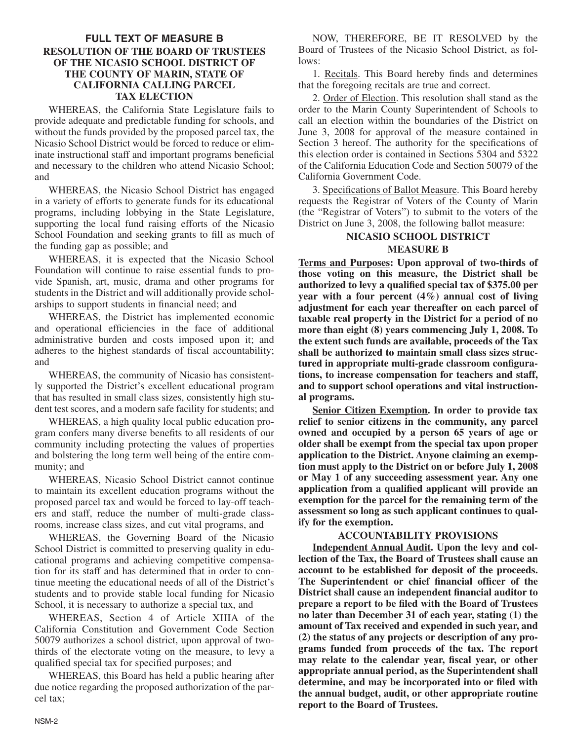# **FULL TEXT OF MEASURE B RESOLUTION OF THE BOARD OF TRUSTEES OF THE NICASIO SCHOOL DISTRICT OF THE COUNTY OF MARIN, STATE OF CALIFORNIA CALLING PARCEL TAX ELECTION**

WHEREAS, the California State Legislature fails to provide adequate and predictable funding for schools, and without the funds provided by the proposed parcel tax, the Nicasio School District would be forced to reduce or eliminate instructional staff and important programs beneficial and necessary to the children who attend Nicasio School; and

WHEREAS, the Nicasio School District has engaged in a variety of efforts to generate funds for its educational programs, including lobbying in the State Legislature, supporting the local fund raising efforts of the Nicasio School Foundation and seeking grants to fill as much of the funding gap as possible; and

WHEREAS, it is expected that the Nicasio School Foundation will continue to raise essential funds to provide Spanish, art, music, drama and other programs for students in the District and will additionally provide scholarships to support students in financial need; and

WHEREAS, the District has implemented economic and operational efficiencies in the face of additional administrative burden and costs imposed upon it; and adheres to the highest standards of fiscal accountability; and

WHEREAS, the community of Nicasio has consistently supported the District's excellent educational program that has resulted in small class sizes, consistently high student test scores, and a modern safe facility for students; and

WHEREAS, a high quality local public education program confers many diverse benefits to all residents of our community including protecting the values of properties and bolstering the long term well being of the entire community; and

WHEREAS, Nicasio School District cannot continue to maintain its excellent education programs without the proposed parcel tax and would be forced to lay-off teachers and staff, reduce the number of multi-grade classrooms, increase class sizes, and cut vital programs, and

WHEREAS, the Governing Board of the Nicasio School District is committed to preserving quality in educational programs and achieving competitive compensation for its staff and has determined that in order to continue meeting the educational needs of all of the District's students and to provide stable local funding for Nicasio School, it is necessary to authorize a special tax, and

WHEREAS, Section 4 of Article XIIIA of the California Constitution and Government Code Section 50079 authorizes a school district, upon approval of twothirds of the electorate voting on the measure, to levy a qualified special tax for specified purposes; and

WHEREAS, this Board has held a public hearing after due notice regarding the proposed authorization of the parcel tax;

NOW, THEREFORE, BE IT RESOLVED by the Board of Trustees of the Nicasio School District, as follows:

1. Recitals. This Board hereby finds and determines that the foregoing recitals are true and correct.

2. Order of Election. This resolution shall stand as the order to the Marin County Superintendent of Schools to call an election within the boundaries of the District on June 3, 2008 for approval of the measure contained in Section 3 hereof. The authority for the specifications of this election order is contained in Sections 5304 and 5322 of the California Education Code and Section 50079 of the California Government Code.

3. Specifications of Ballot Measure. This Board hereby requests the Registrar of Voters of the County of Marin (the "Registrar of Voters") to submit to the voters of the District on June 3, 2008, the following ballot measure:

# **NICASIO SCHOOL DISTRICT MEASURE B**

**Terms and Purposes: Upon approval of two-thirds of those voting on this measure, the District shall be authorized to levy a qualified special tax of \$375.00 per year with a four percent (4%) annual cost of living adjustment for each year thereafter on each parcel of taxable real property in the District for a period of no more than eight (8) years commencing July 1, 2008. To the extent such funds are available, proceeds of the Tax shall be authorized to maintain small class sizes structured in appropriate multi-grade classroom configurations, to increase compensation for teachers and staff, and to support school operations and vital instructional programs.**

**Senior Citizen Exemption. In order to provide tax relief to senior citizens in the community, any parcel owned and occupied by a person 65 years of age or older shall be exempt from the special tax upon proper application to the District. Anyone claiming an exemption must apply to the District on or before July 1, 2008 or May 1 of any succeeding assessment year. Any one application from a qualified applicant will provide an exemption for the parcel for the remaining term of the assessment so long as such applicant continues to qualify for the exemption.**

## **ACCOUNTABILITY PROVISIONS**

**Independent Annual Audit. Upon the levy and collection of the Tax, the Board of Trustees shall cause an account to be established for deposit of the proceeds. The Superintendent or chief financial officer of the District shall cause an independent financial auditor to prepare a report to be filed with the Board of Trustees no later than December 31 of each year, stating (1) the amount of Tax received and expended in such year, and (2) the status of any projects or description of any programs funded from proceeds of the tax. The report may relate to the calendar year, fiscal year, or other appropriate annual period, as the Superintendent shall determine, and may be incorporated into or filed with the annual budget, audit, or other appropriate routine report to the Board of Trustees.**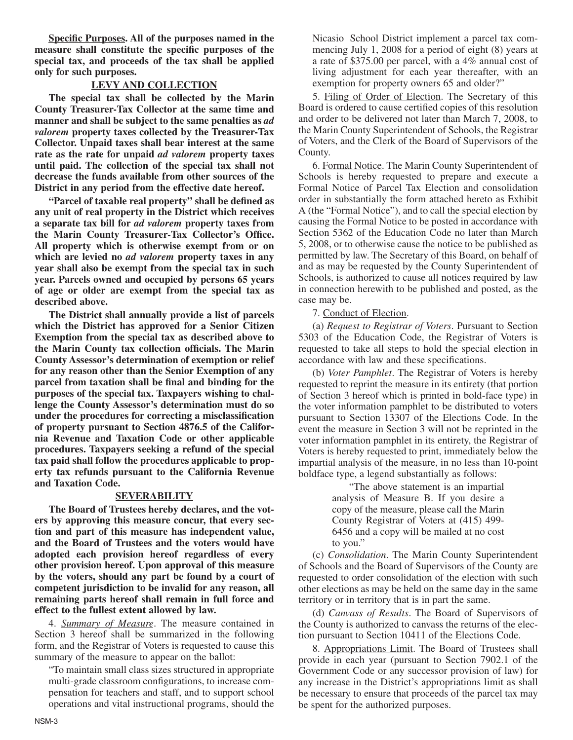**Specific Purposes. All of the purposes named in the measure shall constitute the specific purposes of the special tax, and proceeds of the tax shall be applied only for such purposes.**

### **LEVY AND COLLECTION**

**The special tax shall be collected by the Marin County Treasurer-Tax Collector at the same time and manner and shall be subject to the same penalties as** *ad valorem* **property taxes collected by the Treasurer-Tax Collector. Unpaid taxes shall bear interest at the same rate as the rate for unpaid** *ad valorem* **property taxes until paid. The collection of the special tax shall not decrease the funds available from other sources of the District in any period from the effective date hereof.**

**"Parcel of taxable real property" shall be defined as any unit of real property in the District which receives a separate tax bill for** *ad valorem* **property taxes from the Marin County Treasurer-Tax Collector's Office. All property which is otherwise exempt from or on which are levied no** *ad valorem* **property taxes in any year shall also be exempt from the special tax in such year. Parcels owned and occupied by persons 65 years of age or older are exempt from the special tax as described above.**

**The District shall annually provide a list of parcels which the District has approved for a Senior Citizen Exemption from the special tax as described above to the Marin County tax collection officials. The Marin County Assessor's determination of exemption or relief for any reason other than the Senior Exemption of any parcel from taxation shall be final and binding for the purposes of the special tax. Taxpayers wishing to challenge the County Assessor's determination must do so under the procedures for correcting a misclassification of property pursuant to Section 4876.5 of the California Revenue and Taxation Code or other applicable procedures. Taxpayers seeking a refund of the special tax paid shall follow the procedures applicable to property tax refunds pursuant to the California Revenue and Taxation Code.**

#### **SEVERABILITY**

**The Board of Trustees hereby declares, and the voters by approving this measure concur, that every section and part of this measure has independent value, and the Board of Trustees and the voters would have adopted each provision hereof regardless of every other provision hereof. Upon approval of this measure by the voters, should any part be found by a court of competent jurisdiction to be invalid for any reason, all remaining parts hereof shall remain in full force and effect to the fullest extent allowed by law.**

4. *Summary of Measure*. The measure contained in Section 3 hereof shall be summarized in the following form, and the Registrar of Voters is requested to cause this summary of the measure to appear on the ballot:

"To maintain small class sizes structured in appropriate multi-grade classroom configurations, to increase compensation for teachers and staff, and to support school operations and vital instructional programs, should the Nicasio School District implement a parcel tax commencing July 1, 2008 for a period of eight (8) years at a rate of \$375.00 per parcel, with a 4% annual cost of living adjustment for each year thereafter, with an exemption for property owners 65 and older?"

5. Filing of Order of Election. The Secretary of this Board is ordered to cause certified copies of this resolution and order to be delivered not later than March 7, 2008, to the Marin County Superintendent of Schools, the Registrar of Voters, and the Clerk of the Board of Supervisors of the County.

6. Formal Notice. The Marin County Superintendent of Schools is hereby requested to prepare and execute a Formal Notice of Parcel Tax Election and consolidation order in substantially the form attached hereto as Exhibit A (the "Formal Notice"), and to call the special election by causing the Formal Notice to be posted in accordance with Section 5362 of the Education Code no later than March 5, 2008, or to otherwise cause the notice to be published as permitted by law. The Secretary of this Board, on behalf of and as may be requested by the County Superintendent of Schools, is authorized to cause all notices required by law in connection herewith to be published and posted, as the case may be.

7. Conduct of Election.

(a) *Request to Registrar of Voters*. Pursuant to Section 5303 of the Education Code, the Registrar of Voters is requested to take all steps to hold the special election in accordance with law and these specifications.

(b) *Voter Pamphlet*. The Registrar of Voters is hereby requested to reprint the measure in its entirety (that portion of Section 3 hereof which is printed in bold-face type) in the voter information pamphlet to be distributed to voters pursuant to Section 13307 of the Elections Code. In the event the measure in Section 3 will not be reprinted in the voter information pamphlet in its entirety, the Registrar of Voters is hereby requested to print, immediately below the impartial analysis of the measure, in no less than 10-point boldface type, a legend substantially as follows:

> "The above statement is an impartial analysis of Measure B. If you desire a copy of the measure, please call the Marin County Registrar of Voters at (415) 499- 6456 and a copy will be mailed at no cost to you."

(c) *Consolidation*. The Marin County Superintendent of Schools and the Board of Supervisors of the County are requested to order consolidation of the election with such other elections as may be held on the same day in the same territory or in territory that is in part the same.

(d) *Canvass of Results*. The Board of Supervisors of the County is authorized to canvass the returns of the election pursuant to Section 10411 of the Elections Code.

8. Appropriations Limit. The Board of Trustees shall provide in each year (pursuant to Section 7902.1 of the Government Code or any successor provision of law) for any increase in the District's appropriations limit as shall be necessary to ensure that proceeds of the parcel tax may be spent for the authorized purposes.